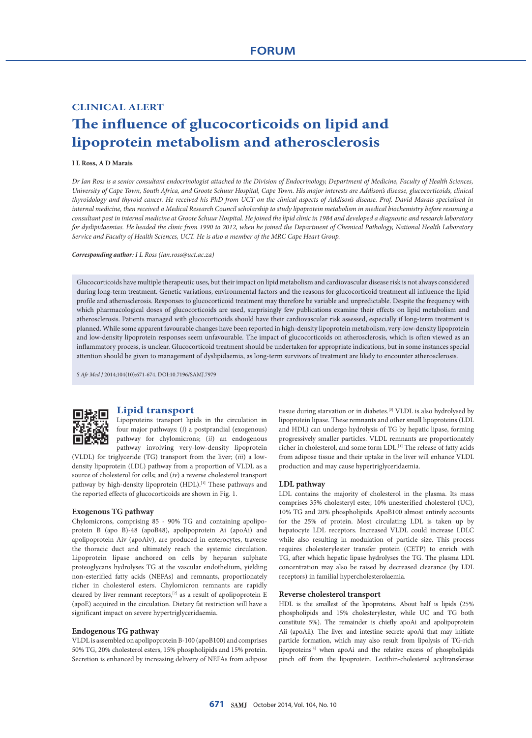# **CLINICAL ALERT** The influence of glucocorticoids on lipid and **lipoprotein metabolism and atherosclerosis**

## **I L Ross, A D Marais**

*Dr Ian Ross is a senior consultant endocrinologist attached to the Division of Endocrinology, Department of Medicine, Faculty of Health Sciences, University of Cape Town, South Africa, and Groote Schuur Hospital, Cape Town. His major interests are Addison's disease, glucocorticoids, clinical thyroidology and thyroid cancer. He received his PhD from UCT on the clinical aspects of Addison's disease. Prof. David Marais specialised in internal medicine, then received a Medical Research Council scholarship to study lipoprotein metabolism in medical biochemistry before resuming a consultant post in internal medicine at Groote Schuur Hospital. He joined the lipid clinic in 1984 and developed a diagnostic and research laboratory*  for dyslipidaemias. He headed the clinic from 1990 to 2012, when he joined the Department of Chemical Pathology, National Health Laboratory *Service and Faculty of Health Sciences, UCT. He is also a member of the MRC Cape Heart Group.*

*Corresponding author: I L Ross (ian.ross@uct.ac.za)*

Glucocorticoids have multiple therapeutic uses, but their impact on lipid metabolism and cardiovascular disease risk is not always considered during long-term treatment. Genetic variations, environmental factors and the reasons for glucocorticoid treatment all influence the lipid profile and atherosclerosis. Responses to glucocorticoid treatment may therefore be variable and unpredictable. Despite the frequency with which pharmacological doses of glucocorticoids are used, surprisingly few publications examine their effects on lipid metabolism and atherosclerosis. Patients managed with glucocorticoids should have their cardiovascular risk assessed, especially if long-term treatment is planned. While some apparent favourable changes have been reported in high-density lipoprotein metabolism, very-low-density lipoprotein and low-density lipoprotein responses seem unfavourable. The impact of glucocorticoids on atherosclerosis, which is often viewed as an inflammatory process, is unclear. Glucocorticoid treatment should be undertaken for appropriate indications, but in some instances special attention should be given to management of dyslipidaemia, as long-term survivors of treatment are likely to encounter atherosclerosis.

*S Afr Med J* 2014;104(10):671-674. DOI:10.7196/SAMJ.7979



## **Lipid transport**

Lipoproteins transport lipids in the circulation in four major pathways: (*i*) a postprandial (exogenous) pathway for chylomicrons; (*ii*) an endogenous pathway involving very-low-density lipoprotein

(VLDL) for triglyceride (TG) transport from the liver; (*iii*) a lowdensity lipoprotein (LDL) pathway from a proportion of VLDL as a source of cholesterol for cells; and (*iv*) a reverse cholesterol transport pathway by high-density lipoprotein (HDL).<sup>[1]</sup> These pathways and the reported effects of glucocorticoids are shown in Fig. 1.

### **Exogenous TG pathway**

Chylomicrons, comprising 85 - 90% TG and containing apolipoprotein B (apo B)-48 (apoB48), apolipoprotein Ai (apoAi) and apolipoprotein Aiv (apoAiv), are produced in enterocytes, traverse the thoracic duct and ultimately reach the systemic circulation. Lipoprotein lipase anchored on cells by heparan sulphate proteoglycans hydrolyses TG at the vascular endothelium, yielding non-esterified fatty acids (NEFAs) and remnants, proportionately richer in cholesterol esters. Chylomicron remnants are rapidly cleared by liver remnant receptors, $[2]$  as a result of apolipoprotein E (apoE) acquired in the circulation. Dietary fat restriction will have a significant impact on severe hypertriglyceridaemia.

#### **Endogenous TG pathway**

VLDL is assembled on apolipoprotein B-100 (apoB100) and comprises 50% TG, 20% cholesterol esters, 15% phospholipids and 15% protein. Secretion is enhanced by increasing delivery of NEFAs from adipose

tissue during starvation or in diabetes.[3] VLDL is also hydrolysed by lipoprotein lipase. These remnants and other small lipoproteins (LDL and HDL) can undergo hydrolysis of TG by hepatic lipase, forming progressively smaller particles. VLDL remnants are proportionately richer in cholesterol, and some form LDL.<sup>[1]</sup> The release of fatty acids from adipose tissue and their uptake in the liver will enhance VLDL production and may cause hypertriglyceridaemia.

#### **LDL pathway**

LDL contains the majority of cholesterol in the plasma. Its mass comprises 35% cholesteryl ester, 10% unesterified cholesterol (UC), 10% TG and 20% phospholipids. ApoB100 almost entirely accounts for the 25% of protein. Most circulating LDL is taken up by hepatocyte LDL receptors. Increased VLDL could increase LDLC while also resulting in modulation of particle size. This process requires cholesterylester transfer protein (CETP) to enrich with TG, after which hepatic lipase hydrolyses the TG. The plasma LDL concentration may also be raised by decreased clearance (by LDL receptors) in familial hypercholesterolaemia.

#### **Reverse cholesterol transport**

HDL is the smallest of the lipoproteins. About half is lipids (25% phospholipids and 15% cholesterylester, while UC and TG both constitute 5%). The remainder is chiefly apoAi and apolipoprotein Aii (apoAii). The liver and intestine secrete apoAi that may initiate particle formation, which may also result from lipolysis of TG-rich lipoproteins<sup>[4]</sup> when apoAi and the relative excess of phospholipids pinch off from the lipoprotein. Lecithin-cholesterol acyltransferase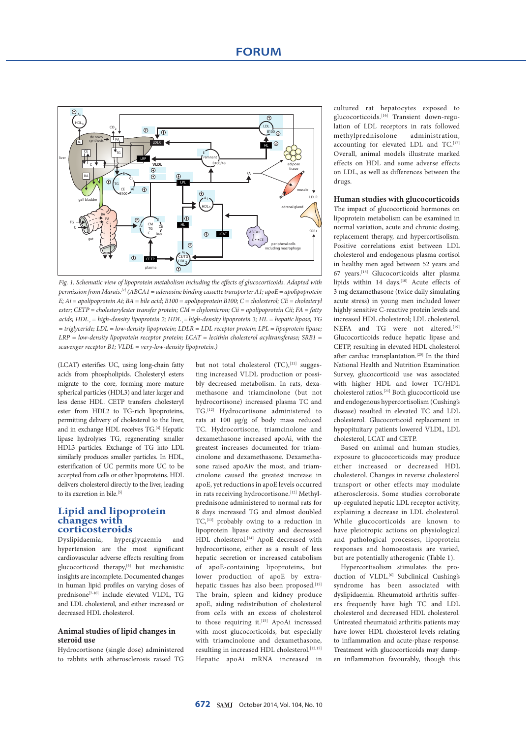

Fig. 1. Schematic view of lipoprotein metabolism including the effects of glucocorticoids. Adapted with *permission from Marais.[1] (ABCA1 = adenosine binding cassette transporter A1; apoE = apolipoprotein E; Ai = apolipoprotein Ai; BA = bile acid; B100 = apolipoprotein B100; C = cholesterol; CE = cholesteryl ester; CETP = cholesterylester transfer protein; CM = chylomicron; Cii = apolipoprotein Cii; FA = fatty acids; HDL2 = high-density lipoprotein 2; HDL3 = high-density lipoprotein 3; HL = hepatic lipase; TG = triglyceride; LDL = low-density lipoprotein; LDLR = LDL receptor protein; LPL = lipoprotein lipase; LRP = low-density lipoprotein receptor protein; LCAT = lecithin cholesterol acyltransferase; SRB1 = scavenger receptor B1; VLDL = very-low-density lipoprotein.)*

(LCAT) esterifies UC, using long-chain fatty acids from phospholipids. Cholesteryl esters migrate to the core, forming more mature spherical particles (HDL3) and later larger and less dense HDL. CETP transfers cholesteryl ester from HDL2 to TG-rich lipoproteins, permitting delivery of cholesterol to the liver, and in exchange HDL receives TG.<sup>[4]</sup> Hepatic lipase hydrolyses TG, regenerating smaller HDL3 particles. Exchange of TG into LDL similarly produces smaller particles. In HDL, esterification of UC permits more UC to be accepted from cells or other lipoproteins. HDL delivers cholesterol directly to the liver, leading to its excretion in bile<sup>[5]</sup>

# **Lipid and lipoprotein changes with corticosteroids**

Dyslipidaemia, hyperglycaemia and hypertension are the most significant cardiovascular adverse effects resulting from glucocorticoid therapy,<sup>[6]</sup> but mechanistic insights are incomplete. Documented changes in human lipid profiles on varying doses of prednisone<sup>[7-10]</sup> include elevated VLDL, TG and LDL cholesterol, and either increased or decreased HDL cholesterol.

## **Animal studies of lipid changes in steroid use**

Hydrocortisone (single dose) administered to rabbits with atherosclerosis raised TG but not total cholesterol (TC),<sup>[11]</sup> suggesting increased VLDL production or possibly decreased metabolism. In rats, dexamethasone and triamcinolone (but not hydrocortisone) increased plasma TC and TG.[12] Hydrocortisone administered to rats at 100 µg/g of body mass reduced TC. Hydrocortisone, triamcinolone and dexa methasone increased apoAi, with the greatest increases documented for triamcinolone and dexamethasone. Dexamethasone raised apoAiv the most, and triamcinolone caused the greatest increase in apoE, yet reductions in apoE levels occurred in rats receiving hydrocortisone.<sup>[12]</sup> Methylprednisone administered to normal rats for 8 days increased TG and almost doubled TC,<sup>[13]</sup> probably owing to a reduction in lipoprotein lipase activity and decreased HDL cholesterol.<sup>[14]</sup> ApoE decreased with hydrocortisone, either as a result of less hepatic secretion or increased catabolism of apoE-containing lipoproteins, but lower production of apoE by extrahepatic tissues has also been proposed.<sup>[15]</sup> The brain, spleen and kidney produce apoE, aiding redistribution of cholesterol from cells with an excess of cholesterol to those requiring it.<sup>[15]</sup> ApoAi increased with most glucocorticoids, but especially with triamcinolone and dexamethasone, resulting in increased HDL cholesterol.<sup>[12,15]</sup> Hepatic apoAi mRNA increased in cultured rat hepatocytes exposed to glucocorticoids.[16] Transient down-regulation of LDL receptors in rats followed methylprednisolone administration, accounting for elevated LDL and TC.<sup>[17]</sup> Overall, animal models illustrate marked effects on HDL and some adverse effects on LDL, as well as differences between the drugs.

# **Human studies with glucocorticoids**

The impact of glucocorticoid hormones on lipoprotein metabolism can be examined in normal variation, acute and chronic dosing, replacement therapy, and hypercortisolism. Positive correlations exist between LDL cholesterol and endogenous plasma cortisol in healthy men aged between 52 years and 67 years.[18] Glucocorticoids alter plasma lipids within 14 days.<sup>[10]</sup> Acute effects of 3 mg dexamethasone (twice daily simulating acute stress) in young men included lower highly sensitive C-reactive protein levels and increased HDL cholesterol; LDL cholesterol, NEFA and TG were not altered.<sup>[19]</sup> Glucocorticoids reduce hepatic lipase and CETP, resulting in elevated HDL cholesterol after cardiac transplantation.<sup>[20]</sup> In the third National Health and Nutrition Examination Survey, glucocorticoid use was associated with higher HDL and lower TC/HDL cholesterol ratios.[21] Both glucocorticoid use and endogenous hypercortisolism (Cushing's disease) resulted in elevated TC and LDL cholesterol. Glucocorticoid replacement in hypopituitary patients lowered VLDL, LDL cholesterol, LCAT and CETP.

Based on animal and human studies, exposure to glucocorticoids may produce either increased or decreased HDL cholesterol. Changes in reverse cholesterol transport or other effects may modulate atherosclerosis. Some studies corroborate up-regulated hepatic LDL receptor activity, explaining a decrease in LDL cholesterol. While glucocorticoids are known to have pleiotropic actions on physiological and pathological processes, lipoprotein responses and homoeostasis are varied, but are potentially atherogenic (Table 1).

Hypercortisolism stimulates the production of VLDL.<sup>[6]</sup> Subclinical Cushing's syndrome has been associated with dyslipidaemia. Rheumatoid arthritis sufferers frequently have high TC and LDL cholesterol and decreased HDL cholesterol. Untreated rheumatoid arthritis patients may have lower HDL cholesterol levels relating to inflammation and acute-phase response. Treatment with glucocorticoids may dampen inflammation favourably, though this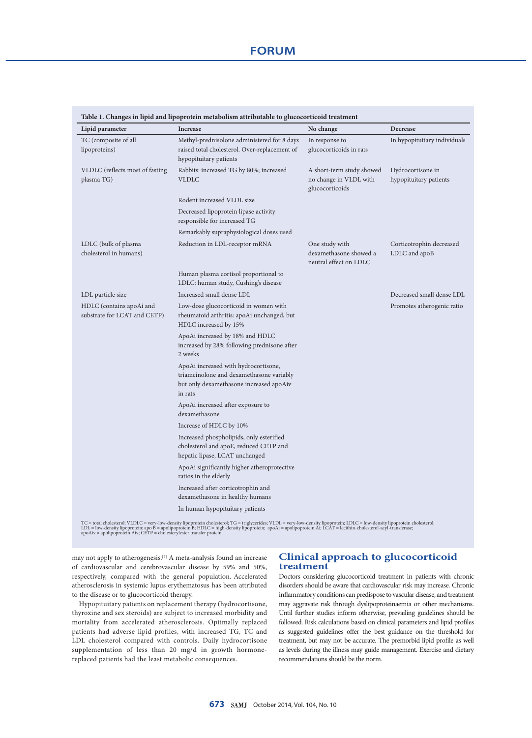|  |  | Table 1. Changes in lipid and lipoprotein metabolism attributable to glucocorticoid treatment |
|--|--|-----------------------------------------------------------------------------------------------|
|  |  |                                                                                               |

| Lipid parameter                                          | <b>Increase</b>                                                                                                                        | No change                                                              | Decrease                                    |
|----------------------------------------------------------|----------------------------------------------------------------------------------------------------------------------------------------|------------------------------------------------------------------------|---------------------------------------------|
| TC (composite of all<br>lipoproteins)                    | Methyl-prednisolone administered for 8 days<br>raised total cholesterol. Over-replacement of<br>hypopituitary patients                 | In response to<br>glucocorticoids in rats                              | In hypopituitary individuals                |
| VLDLC (reflects most of fasting<br>plasma TG)            | Rabbits: increased TG by 80%; increased<br><b>VLDLC</b>                                                                                | A short-term study showed<br>no change in VLDL with<br>glucocorticoids | Hydrocortisone in<br>hypopituitary patients |
|                                                          | Rodent increased VLDL size                                                                                                             |                                                                        |                                             |
|                                                          | Decreased lipoprotein lipase activity<br>responsible for increased TG                                                                  |                                                                        |                                             |
|                                                          | Remarkably supraphysiological doses used                                                                                               |                                                                        |                                             |
| LDLC (bulk of plasma<br>cholesterol in humans)           | Reduction in LDL-receptor mRNA                                                                                                         | One study with<br>dexamethasone showed a<br>neutral effect on LDLC     | Corticotrophin decreased<br>LDLC and apoB   |
|                                                          | Human plasma cortisol proportional to<br>LDLC: human study, Cushing's disease                                                          |                                                                        |                                             |
| LDL particle size                                        | Increased small dense LDL                                                                                                              |                                                                        | Decreased small dense LDL                   |
| HDLC (contains apoAi and<br>substrate for LCAT and CETP) | Low-dose glucocorticoid in women with<br>rheumatoid arthritis: apoAi unchanged, but<br>HDLC increased by 15%                           |                                                                        | Promotes atherogenic ratio                  |
|                                                          | ApoAi increased by 18% and HDLC<br>increased by 28% following prednisone after<br>2 weeks                                              |                                                                        |                                             |
|                                                          | ApoAi increased with hydrocortisone,<br>triamcinolone and dexamethasone variably<br>but only dexamethasone increased apoAiv<br>in rats |                                                                        |                                             |
|                                                          | ApoAi increased after exposure to<br>dexamethasone                                                                                     |                                                                        |                                             |
|                                                          | Increase of HDLC by 10%                                                                                                                |                                                                        |                                             |
|                                                          | Increased phospholipids, only esterified<br>cholesterol and apoE, reduced CETP and<br>hepatic lipase, LCAT unchanged                   |                                                                        |                                             |
|                                                          | ApoAi significantly higher atheroprotective<br>ratios in the elderly                                                                   |                                                                        |                                             |
|                                                          | Increased after corticotrophin and<br>dexamethasone in healthy humans                                                                  |                                                                        |                                             |
|                                                          | In human hypopituitary patients                                                                                                        |                                                                        |                                             |

TC = total cholesterol; VLDLC = very-low-density lipoprotein cholesterol; TG = triglycerides; VLDL = very-low-density lipoprotein; LDLC = low-density lipoprotein cholesterol;<br>LDL = low-density lipoprotein; apo B = apolipop

may not apply to atherogenesis.[7] A meta-analysis found an increase of cardiovascular and cerebrovascular disease by 59% and 50%, respectively, compared with the general population. Accelerated atherosclerosis in systemic lupus erythematosus has been attributed to the disease or to glucocorticoid therapy.

Hypopituitary patients on replacement therapy (hydrocortisone, thyroxine and sex steroids) are subject to increased morbidity and mortality from accelerated atherosclerosis. Optimally replaced patients had adverse lipid profiles, with increased TG, TC and LDL cholesterol compared with controls. Daily hydrocortisone supplementation of less than 20 mg/d in growth hormonereplaced patients had the least metabolic consequences.

# **Clinical approach to glucocorticoid treatment**

Doctors considering glucocorticoid treatment in patients with chronic disorders should be aware that cardiovascular risk may increase. Chronic inflammatory conditions can predispose to vascular disease, and treatment may aggravate risk through dyslipoproteinaemia or other mechanisms. Until further studies inform otherwise, prevailing guidelines should be followed. Risk calculations based on clinical parameters and lipid profiles as suggested guidelines offer the best guidance on the threshold for treatment, but may not be accurate. The premorbid lipid profile as well as levels during the illness may guide management. Exercise and dietary recommendations should be the norm.